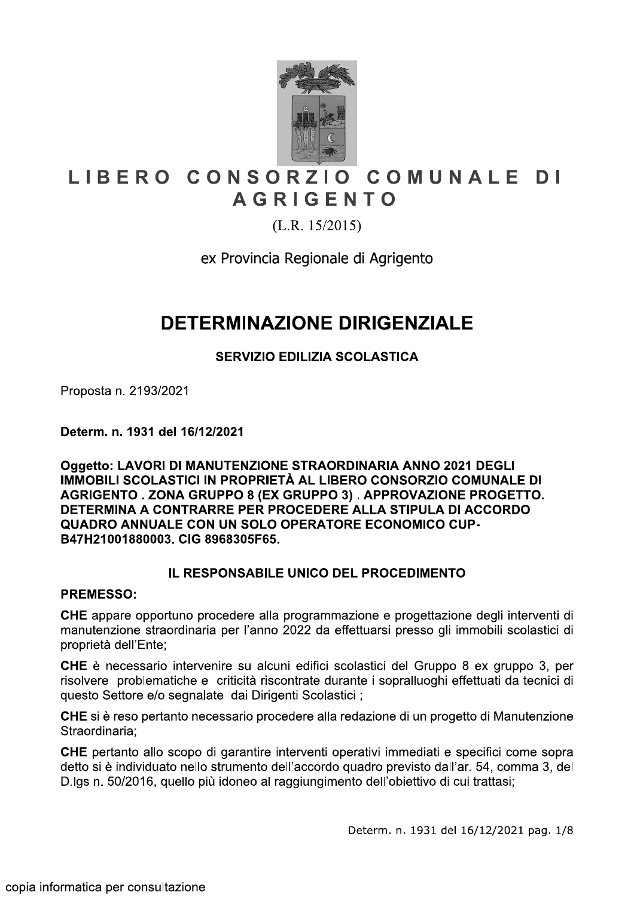

# LIBERO CONSORZIO COMUNALE DI **AGRIGENTO**

 $(L.R. 15/2015)$ 

ex Provincia Regionale di Agrigento

# **DETERMINAZIONE DIRIGENZIALE**

## **SERVIZIO EDILIZIA SCOLASTICA**

Proposta n. 2193/2021

Determ. n. 1931 del 16/12/2021

Oggetto: LAVORI DI MANUTENZIONE STRAORDINARIA ANNO 2021 DEGLI IMMOBILI SCOLASTICI IN PROPRIETÀ AL LIBERO CONSORZIO COMUNALE DI AGRIGENTO. ZONA GRUPPO 8 (EX GRUPPO 3). APPROVAZIONE PROGETTO. DETERMINA A CONTRARRE PER PROCEDERE ALLA STIPULA DI ACCORDO QUADRO ANNUALE CON UN SOLO OPERATORE ECONOMICO CUP-B47H21001880003, CIG 8968305F65.

## IL RESPONSABILE UNICO DEL PROCEDIMENTO

#### **PREMESSO:**

CHE appare opportuno procedere alla programmazione e progettazione degli interventi di manutenzione straordinaria per l'anno 2022 da effettuarsi presso gli immobili scolastici di proprietà dell'Ente;

**CHE** è necessario intervenire su alcuni edifici scolastici del Gruppo 8 ex gruppo 3, per risolvere problematiche e criticità riscontrate durante i sopralluoghi effettuati da tecnici di guesto Settore e/o segnalate dai Dirigenti Scolastici ;

CHE si è reso pertanto necessario procedere alla redazione di un progetto di Manutenzione Straordinaria:

CHE pertanto allo scopo di garantire interventi operativi immediati e specifici come sopra detto si è individuato nello strumento dell'accordo quadro previsto dall'ar. 54, comma 3, del D.lgs n. 50/2016, quello più idoneo al raggiungimento dell'obiettivo di cui trattasi;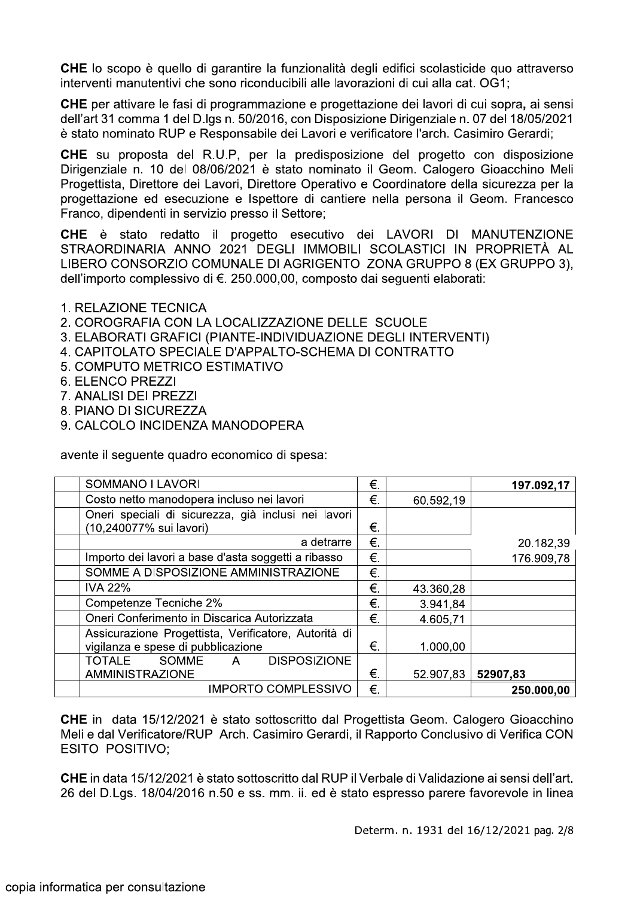CHE lo scopo è quello di garantire la funzionalità degli edifici scolasticide quo attraverso interventi manutentivi che sono riconducibili alle lavorazioni di cui alla cat. OG1;

CHE per attivare le fasi di programmazione e progettazione dei lavori di cui sopra, ai sensi dell'art 31 comma 1 del D.lgs n. 50/2016, con Disposizione Dirigenziale n. 07 del 18/05/2021 è stato nominato RUP e Responsabile dei Lavori e verificatore l'arch. Casimiro Gerardi;

CHE su proposta del R.U.P, per la predisposizione del progetto con disposizione Dirigenziale n. 10 del 08/06/2021 è stato nominato il Geom. Calogero Gioacchino Meli Progettista, Direttore dei Lavori, Direttore Operativo e Coordinatore della sicurezza per la progettazione ed esecuzione e Ispettore di cantiere nella persona il Geom. Francesco Franco, dipendenti in servizio presso il Settore;

CHE è stato redatto il progetto esecutivo dei LAVORI DI MANUTENZIONE STRAORDINARIA ANNO 2021 DEGLI IMMOBILI SCOLASTICI IN PROPRIETÀ AL LIBERO CONSORZIO COMUNALE DI AGRIGENTO ZONA GRUPPO 8 (EX GRUPPO 3). dell'importo complessivo di €. 250.000.00, composto dai sequenti elaborati:

- 1. RELAZIONE TECNICA
- 2. COROGRAFIA CON LA LOCALIZZAZIONE DELLE SCUOLE
- 3. ELABORATI GRAFICI (PIANTE-INDIVIDUAZIONE DEGLI INTERVENTI)
- 4. CAPITOLATO SPECIALE D'APPALTO-SCHEMA DI CONTRATTO
- 5. COMPUTO METRICO ESTIMATIVO
- 6. ELENCO PREZZI
- 7. ANALISI DEI PREZZI
- 8. PIANO DI SICUREZZA
- 9. CALCOLO INCIDENZA MANODOPERA

avente il seguente quadro economico di spesa:

| SOMMANO I LAVORI                                          | €. |           | 197.092,17 |
|-----------------------------------------------------------|----|-----------|------------|
| Costo netto manodopera incluso nei lavori                 | €. | 60.592,19 |            |
| Oneri speciali di sicurezza, già inclusi nei lavori       |    |           |            |
| (10,240077% sui lavori)                                   | €. |           |            |
| a detrarre                                                | €. |           | 20.182,39  |
| Importo dei lavori a base d'asta soggetti a ribasso       | €. |           | 176.909,78 |
| SOMME A DISPOSIZIONE AMMINISTRAZIONE                      | €. |           |            |
| <b>IVA 22%</b>                                            | €. | 43.360,28 |            |
| Competenze Tecniche 2%                                    | €. | 3.941,84  |            |
| Oneri Conferimento in Discarica Autorizzata               | €. | 4.605,71  |            |
| Assicurazione Progettista, Verificatore, Autorità di      |    |           |            |
| vigilanza e spese di pubblicazione                        | €. | 1.000,00  |            |
| <b>DISPOSIZIONE</b><br><b>TOTALE</b><br><b>SOMME</b><br>A |    |           |            |
| <b>AMMINISTRAZIONE</b>                                    | €. | 52.907,83 | 52907,83   |
| <b>IMPORTO COMPLESSIVO</b>                                | €. |           | 250.000,00 |

CHE in data 15/12/2021 è stato sottoscritto dal Progettista Geom. Calogero Gioacchino Meli e dal Verificatore/RUP Arch. Casimiro Gerardi, il Rapporto Conclusivo di Verifica CON **ESITO POSITIVO:** 

CHE in data 15/12/2021 è stato sottoscritto dal RUP il Verbale di Validazione ai sensi dell'art. 26 del D.Lgs. 18/04/2016 n.50 e ss. mm. ii. ed è stato espresso parere favorevole in linea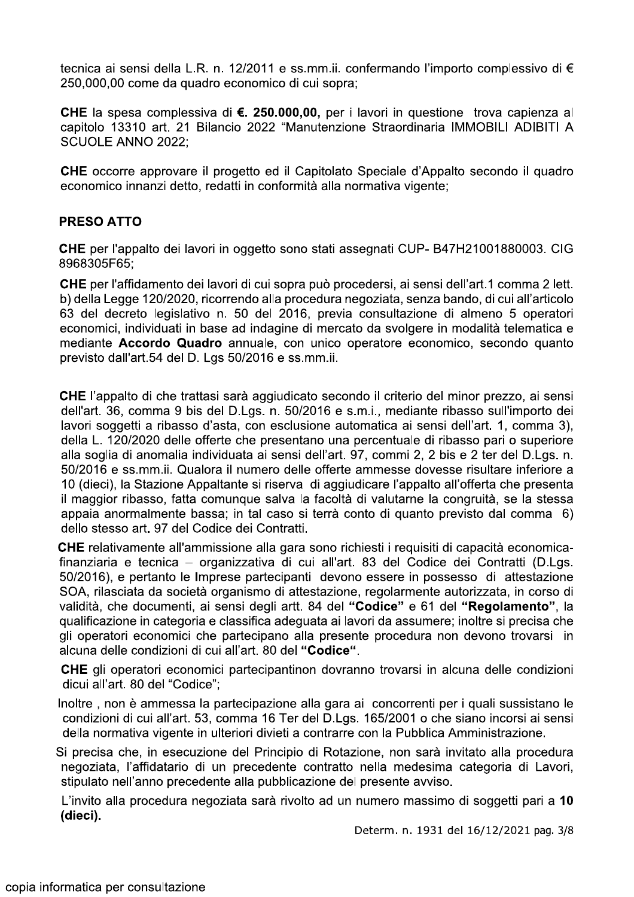tecnica ai sensi della L.R. n. 12/2011 e ss.mm.ii. confermando l'importo complessivo di € 250,000,00 come da quadro economico di cui sopra;

CHE la spesa complessiva di €. 250.000.00, per i lavori in questione trova capienza al capitolo 13310 art. 21 Bilancio 2022 "Manutenzione Straordinaria IMMOBILI ADIBITI A **SCUOLE ANNO 2022:** 

CHE occorre approvare il progetto ed il Capitolato Speciale d'Appalto secondo il quadro economico innanzi detto, redatti in conformità alla normativa vigente;

### **PRESO ATTO**

CHE per l'appalto dei lavori in oggetto sono stati assegnati CUP- B47H21001880003. CIG 8968305F65:

CHE per l'affidamento dei lavori di cui sopra può procedersi, ai sensi dell'art.1 comma 2 lett. b) della Legge 120/2020, ricorrendo alla procedura negoziata, senza bando, di cui all'articolo 63 del decreto legislativo n. 50 del 2016, previa consultazione di almeno 5 operatori economici, individuati in base ad indagine di mercato da svolgere in modalità telematica e mediante Accordo Quadro annuale, con unico operatore economico, secondo quanto previsto dall'art.54 del D. Lgs 50/2016 e ss.mm.ii.

**CHE** l'appalto di che trattasi sarà aggiudicato secondo il criterio del minor prezzo, ai sensi dell'art. 36, comma 9 bis del D.Lgs. n. 50/2016 e s.m.i., mediante ribasso sull'importo dei lavori soggetti a ribasso d'asta, con esclusione automatica ai sensi dell'art. 1, comma 3), della L. 120/2020 delle offerte che presentano una percentuale di ribasso pari o superiore alla soglia di anomalia individuata ai sensi dell'art. 97, commi 2, 2 bis e 2 ter del D.Lgs. n. 50/2016 e ss.mm.ii. Qualora il numero delle offerte ammesse dovesse risultare inferiore a 10 (dieci), la Stazione Appaltante si riserva di aggiudicare l'appalto all'offerta che presenta il maggior ribasso, fatta comungue salva la facoltà di valutarne la congruità, se la stessa appaia anormalmente bassa; in tal caso si terrà conto di quanto previsto dal comma 6) dello stesso art. 97 del Codice dei Contratti.

CHE relativamente all'ammissione alla gara sono richiesti i requisiti di capacità economicafinanziaria e tecnica – organizzativa di cui all'art. 83 del Codice dei Contratti (D.Lgs. 50/2016), e pertanto le Imprese partecipanti devono essere in possesso di attestazione SOA, rilasciata da società organismo di attestazione, regolarmente autorizzata, in corso di validità, che documenti, ai sensi degli artt. 84 del "Codice" e 61 del "Regolamento", la qualificazione in categoria e classifica adeguata ai lavori da assumere; inoltre si precisa che gli operatori economici che partecipano alla presente procedura non devono trovarsi in alcuna delle condizioni di cui all'art. 80 del "Codice".

CHE gli operatori economici partecipantinon dovranno trovarsi in alcuna delle condizioni dicui all'art. 80 del "Codice":

Inoltre, non è ammessa la partecipazione alla gara ai concorrenti per i quali sussistano le condizioni di cui all'art. 53, comma 16 Ter del D.Lgs. 165/2001 o che siano incorsi ai sensi della normativa vigente in ulteriori divieti a contrarre con la Pubblica Amministrazione.

Si precisa che, in esecuzione del Principio di Rotazione, non sarà invitato alla procedura negoziata. l'affidatario di un precedente contratto nella medesima categoria di Lavori. stipulato nell'anno precedente alla pubblicazione del presente avviso.

L'invito alla procedura negoziata sarà rivolto ad un numero massimo di soggetti pari a 10 (dieci).

Determ. n. 1931 del 16/12/2021 pag. 3/8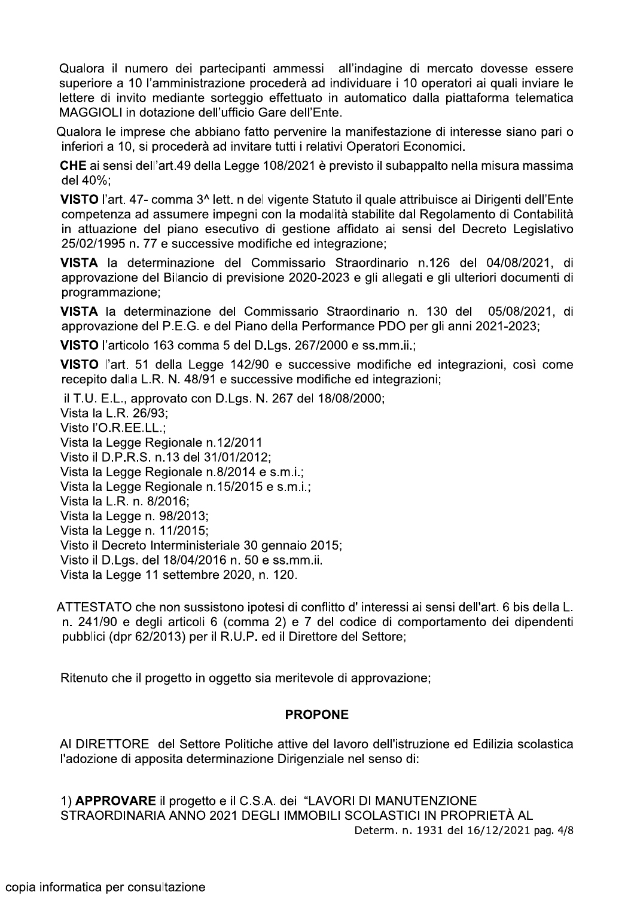Qualora il numero dei partecipanti ammessi all'indagine di mercato dovesse essere superiore a 10 l'amministrazione procederà ad individuare i 10 operatori ai quali inviare le lettere di invito mediante sorteggio effettuato in automatico dalla piattaforma telematica MAGGIOLI in dotazione dell'ufficio Gare dell'Ente.

Qualora le imprese che abbiano fatto pervenire la manifestazione di interesse siano pari o inferiori a 10, si procederà ad invitare tutti i relativi Operatori Economici.

CHE ai sensi dell'art.49 della Legge 108/2021 è previsto il subappalto nella misura massima del 40%;

VISTO l'art. 47- comma 3^ lett. n del vigente Statuto il quale attribuisce ai Dirigenti dell'Ente competenza ad assumere impegni con la modalità stabilite dal Regolamento di Contabilità in attuazione del piano esecutivo di gestione affidato ai sensi del Decreto Legislativo 25/02/1995 n. 77 e successive modifiche ed integrazione;

VISTA la determinazione del Commissario Straordinario n.126 del 04/08/2021, di approvazione del Bilancio di previsione 2020-2023 e gli allegati e gli ulteriori documenti di programmazione;

VISTA la determinazione del Commissario Straordinario n. 130 del 05/08/2021. di approvazione del P.E.G. e del Piano della Performance PDO per gli anni 2021-2023;

VISTO l'articolo 163 comma 5 del D.Lgs. 267/2000 e ss.mm.ii.;

VISTO l'art. 51 della Legge 142/90 e successive modifiche ed integrazioni, così come recepito dalla L.R. N. 48/91 e successive modifiche ed integrazioni;

il T.U. E.L., approvato con D.Lgs. N. 267 del 18/08/2000; Vista la L.R. 26/93; Visto l'O.R.EE.LL.: Vista la Legge Regionale n.12/2011 Visto il D.P.R.S. n.13 del 31/01/2012; Vista la Legge Regionale n.8/2014 e s.m.i.; Vista la Legge Regionale n.15/2015 e s.m.i.: Vista la L.R. n. 8/2016; Vista la Legge n. 98/2013; Vista la Legge n. 11/2015; Visto il Decreto Interministeriale 30 gennaio 2015; Visto il D.Lgs. del 18/04/2016 n. 50 e ss.mm.ii. Vista la Legge 11 settembre 2020, n. 120.

ATTESTATO che non sussistono ipotesi di conflitto d'interessi ai sensi dell'art. 6 bis della L. n. 241/90 e degli articoli 6 (comma 2) e 7 del codice di comportamento dei dipendenti pubblici (dpr 62/2013) per il R.U.P. ed il Direttore del Settore:

Ritenuto che il progetto in oggetto sia meritevole di approvazione;

### **PROPONE**

Al DIRETTORE del Settore Politiche attive del lavoro dell'istruzione ed Edilizia scolastica l'adozione di apposita determinazione Dirigenziale nel senso di:

1) APPROVARE il progetto e il C.S.A. dei "LAVORI DI MANUTENZIONE STRAORDINARIA ANNO 2021 DEGLI IMMOBILI SCOLASTICI IN PROPRIETÀ AL Determ. n. 1931 del 16/12/2021 pag. 4/8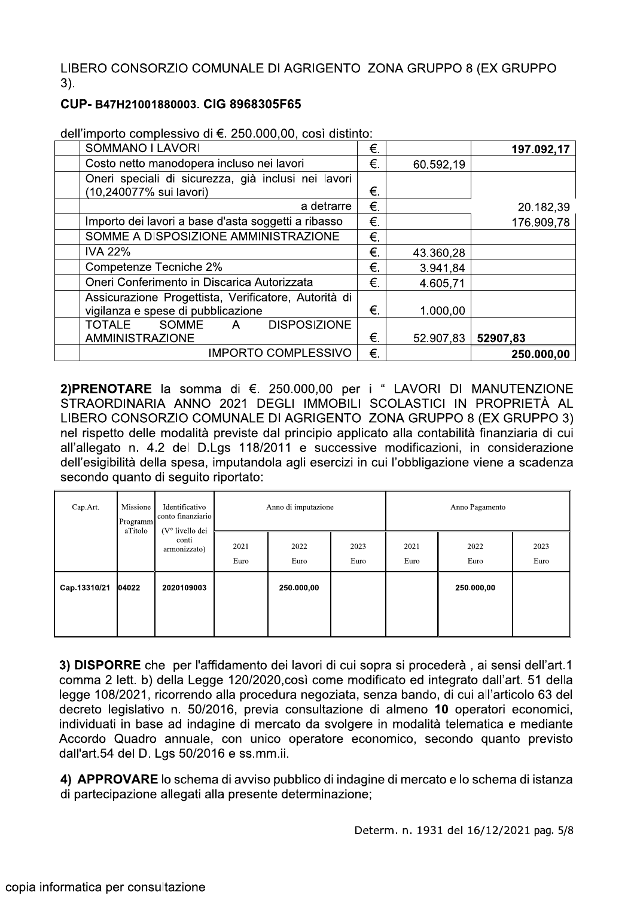LIBERO CONSORZIO COMUNALE DI AGRIGENTO ZONA GRUPPO 8 (EX GRUPPO  $3)$ .

#### CUP-B47H21001880003, CIG 8968305F65

| SOMMANO I LAVORI                                              | €. |           | 197.092,17 |
|---------------------------------------------------------------|----|-----------|------------|
| Costo netto manodopera incluso nei lavori                     | €. | 60.592,19 |            |
| Oneri speciali di sicurezza, già inclusi nei lavori           |    |           |            |
| (10,240077% sui lavori)                                       | €. |           |            |
| a detrarre                                                    | €. |           | 20.182,39  |
| Importo dei lavori a base d'asta soggetti a ribasso           | €. |           | 176.909,78 |
| SOMME A DISPOSIZIONE AMMINISTRAZIONE                          | €. |           |            |
| <b>IVA 22%</b>                                                | €. | 43.360,28 |            |
| Competenze Tecniche 2%                                        | €. | 3.941,84  |            |
| Oneri Conferimento in Discarica Autorizzata                   | €. | 4.605,71  |            |
| Assicurazione Progettista, Verificatore, Autorità di          |    |           |            |
| vigilanza e spese di pubblicazione                            | €. | 1.000,00  |            |
| <b>DISPOSIZIONE</b><br><b>TOTALE</b><br>SOMME<br>$\mathsf{A}$ |    |           |            |
| <b>AMMINISTRAZIONE</b>                                        | €. | 52.907,83 | 52907,83   |
| <b>IMPORTO COMPLESSIVO</b>                                    | €. |           | 250.000,00 |

dell'importo complessivo di €. 250.000,00, così distinto:

2)PRENOTARE la somma di €. 250.000,00 per i " LAVORI DI MANUTENZIONE STRAORDINARIA ANNO 2021 DEGLI IMMOBILI SCOLASTICI IN PROPRIETÀ AL LIBERO CONSORZIO COMUNALE DI AGRIGENTO ZONA GRUPPO 8 (EX GRUPPO 3) nel rispetto delle modalità previste dal principio applicato alla contabilità finanziaria di cui all'allegato n. 4.2 del D.Lgs 118/2011 e successive modificazioni, in considerazione dell'esigibilità della spesa, imputandola agli esercizi in cui l'obbligazione viene a scadenza secondo quanto di seguito riportato:

| Cap.Art.     | Missione<br>Programm<br>aTitolo | Identificativo<br>conto finanziario<br>(V° livello dei | Anno di imputazione |              | Anno Pagamento |              |              |              |
|--------------|---------------------------------|--------------------------------------------------------|---------------------|--------------|----------------|--------------|--------------|--------------|
|              |                                 | conti<br>armonizzato)                                  | 2021<br>Euro        | 2022<br>Euro | 2023<br>Euro   | 2021<br>Euro | 2022<br>Euro | 2023<br>Euro |
| Cap.13310/21 | 04022                           | 2020109003                                             |                     | 250.000,00   |                |              | 250.000,00   |              |
|              |                                 |                                                        |                     |              |                |              |              |              |

3) DISPORRE che per l'affidamento dei lavori di cui sopra si procederà, ai sensi dell'art.1 comma 2 lett. b) della Legge 120/2020, così come modificato ed integrato dall'art. 51 della legge 108/2021, ricorrendo alla procedura negoziata, senza bando, di cui all'articolo 63 del decreto legislativo n. 50/2016, previa consultazione di almeno 10 operatori economici, individuati in base ad indagine di mercato da svolgere in modalità telematica e mediante Accordo Quadro annuale, con unico operatore economico, secondo quanto previsto dall'art.54 del D. Las 50/2016 e ss.mm.ii.

4) APPROVARE lo schema di avviso pubblico di indagine di mercato e lo schema di istanza di partecipazione allegati alla presente determinazione;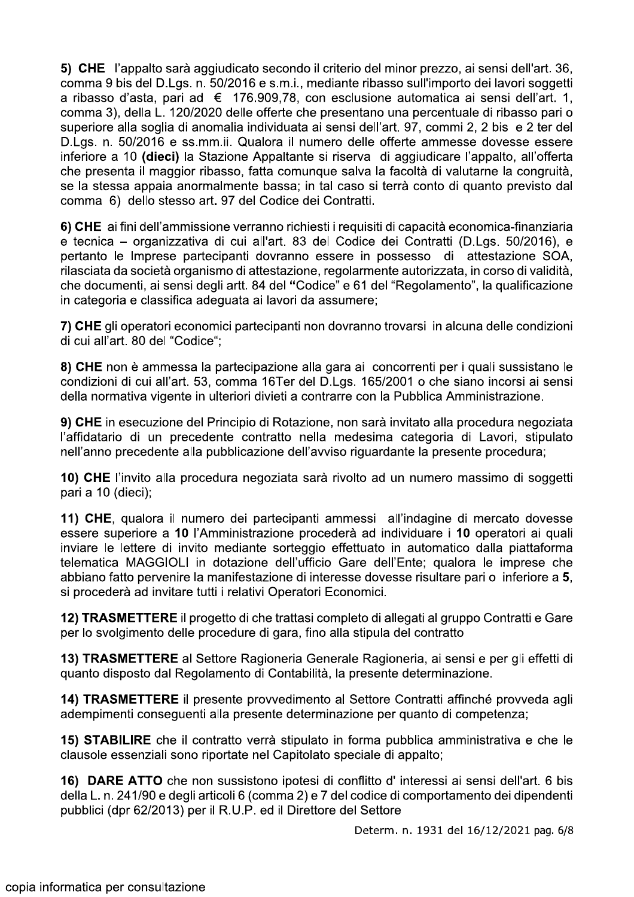5) CHE l'appalto sarà aggiudicato secondo il criterio del minor prezzo, ai sensi dell'art. 36, comma 9 bis del D.Lgs. n. 50/2016 e s.m.i., mediante ribasso sull'importo dei lavori soggetti a ribasso d'asta, pari ad € 176.909,78, con esclusione automatica ai sensi dell'art. 1, comma 3), della L. 120/2020 delle offerte che presentano una percentuale di ribasso pari o superiore alla soglia di anomalia individuata ai sensi dell'art. 97, commi 2, 2 bis e 2 ter del D.Lgs. n. 50/2016 e ss.mm.ii. Qualora il numero delle offerte ammesse dovesse essere inferiore a 10 (dieci) la Stazione Appaltante si riserva di aggiudicare l'appalto, all'offerta che presenta il maggior ribasso, fatta comunque salva la facoltà di valutarne la congruità, se la stessa appaia anormalmente bassa; in tal caso si terrà conto di quanto previsto dal comma 6) dello stesso art. 97 del Codice dei Contratti.

6) CHE ai fini dell'ammissione verranno richiesti i requisiti di capacità economica-finanziaria e tecnica – organizzativa di cui all'art. 83 del Codice dei Contratti (D.Lgs. 50/2016), e pertanto le Imprese partecipanti dovranno essere in possesso di attestazione SOA, rilasciata da società organismo di attestazione, regolarmente autorizzata, in corso di validità, che documenti, ai sensi degli artt. 84 del "Codice" e 61 del "Regolamento", la qualificazione in categoria e classifica adequata ai lavori da assumere;

7) CHE gli operatori economici partecipanti non dovranno trovarsi in alcuna delle condizioni di cui all'art. 80 del "Codice";

8) CHE non è ammessa la partecipazione alla gara ai concorrenti per i quali sussistano le condizioni di cui all'art. 53, comma 16Ter del D.Lgs. 165/2001 o che siano incorsi ai sensi della normativa vigente in ulteriori divieti a contrarre con la Pubblica Amministrazione.

9) CHE in esecuzione del Principio di Rotazione, non sarà invitato alla procedura negoziata l'affidatario di un precedente contratto nella medesima categoria di Lavori, stipulato nell'anno precedente alla pubblicazione dell'avviso riguardante la presente procedura;

10) CHE l'invito alla procedura negoziata sarà rivolto ad un numero massimo di soggetti pari a 10 (dieci);

11) CHE, qualora il numero dei partecipanti ammessi all'indagine di mercato dovesse essere superiore a 10 l'Amministrazione procederà ad individuare i 10 operatori ai quali inviare le lettere di invito mediante sorteggio effettuato in automatico dalla piattaforma telematica MAGGIOLI in dotazione dell'ufficio Gare dell'Ente; qualora le imprese che abbiano fatto pervenire la manifestazione di interesse dovesse risultare pari o inferiore a 5. si procederà ad invitare tutti i relativi Operatori Economici.

12) TRASMETTERE il progetto di che trattasi completo di allegati al gruppo Contratti e Gare per lo svolgimento delle procedure di gara, fino alla stipula del contratto

13) TRASMETTERE al Settore Ragioneria Generale Ragioneria, ai sensi e per gli effetti di quanto disposto dal Regolamento di Contabilità, la presente determinazione.

14) TRASMETTERE il presente provvedimento al Settore Contratti affinché provveda agli adempimenti conseguenti alla presente determinazione per quanto di competenza;

15) STABILIRE che il contratto verrà stipulato in forma pubblica amministrativa e che le clausole essenziali sono riportate nel Capitolato speciale di appalto;

16) DARE ATTO che non sussistono ipotesi di conflitto d'interessi ai sensi dell'art. 6 bis della L. n. 241/90 e degli articoli 6 (comma 2) e 7 del codice di comportamento dei dipendenti pubblici (dpr 62/2013) per il R.U.P. ed il Direttore del Settore

Determ. n. 1931 del 16/12/2021 pag. 6/8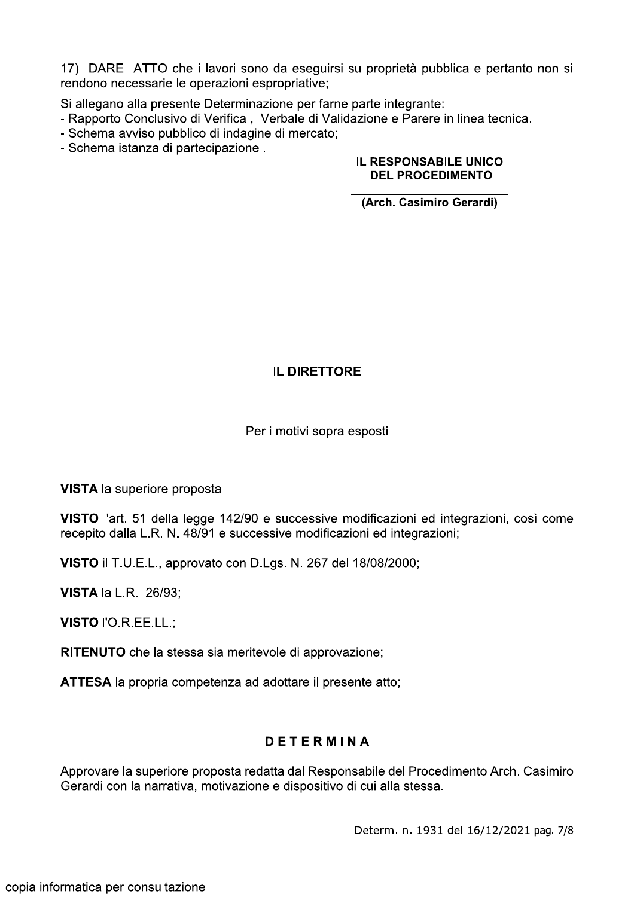17) DARE ATTO che i lavori sono da eseguirsi su proprietà pubblica e pertanto non si rendono necessarie le operazioni espropriative;

Si allegano alla presente Determinazione per farne parte integrante:

- Rapporto Conclusivo di Verifica, Verbale di Validazione e Parere in linea tecnica.
- Schema avviso pubblico di indagine di mercato;
- Schema istanza di partecipazione.

#### **IL RESPONSABILE UNICO DEL PROCEDIMENTO**

(Arch. Casimiro Gerardi)

### **IL DIRETTORE**

#### Per i motivi sopra esposti

**VISTA** la superiore proposta

VISTO l'art. 51 della legge 142/90 e successive modificazioni ed integrazioni, così come recepito dalla L.R. N. 48/91 e successive modificazioni ed integrazioni;

VISTO il T.U.E.L., approvato con D.Lgs. N. 267 del 18/08/2000;

**VISTA la L.R. 26/93;** 

VISTO l'O.R.EE.LL.;

RITENUTO che la stessa sia meritevole di approvazione;

ATTESA la propria competenza ad adottare il presente atto:

## **DETERMINA**

Approvare la superiore proposta redatta dal Responsabile del Procedimento Arch. Casimiro Gerardi con la narrativa, motivazione e dispositivo di cui alla stessa.